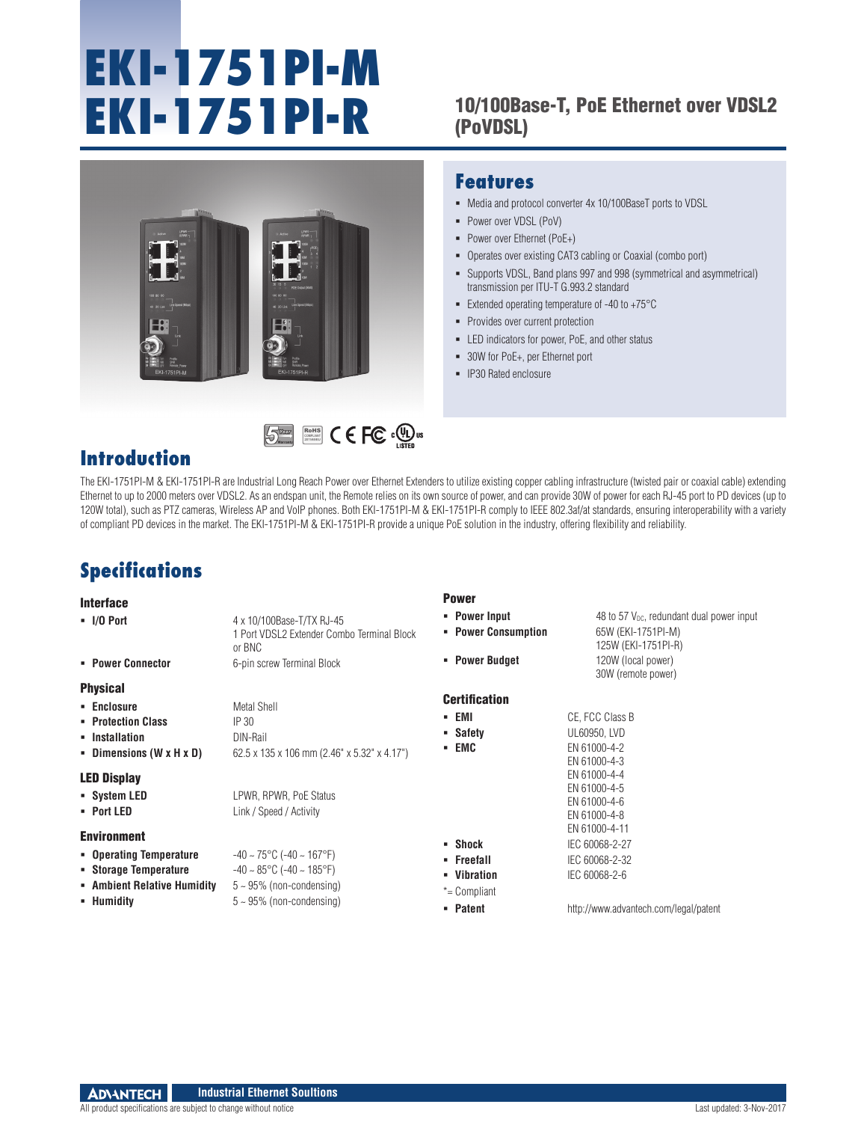# **EKI-1751PI-M**

#### **EKI-1751PI-R** 10/100Base-T, PoE Ethernet over VDSL2 (PoVDSL)



RoHS **COMPLIANT** 2011/65/EU

#### **Features**

- Media and protocol converter 4x 10/100BaseT ports to VDSL
- Power over VDSL (PoV)
- Power over Ethernet (PoE+)
- Operates over existing CAT3 cabling or Coaxial (combo port)
- Supports VDSL, Band plans 997 and 998 (symmetrical and asymmetrical) transmission per ITU-T G.993.2 standard
- Extended operating temperature of  $-40$  to  $+75^{\circ}$ C
- **Provides over current protection**
- **EXECUTE:** LED indicators for power, PoE, and other status
- 30W for PoE+, per Ethernet port
- **IP30 Rated enclosure**

### **Introduction**

The EKI-1751PI-M & EKI-1751PI-R are Industrial Long Reach Power over Ethernet Extenders to utilize existing copper cabling infrastructure (twisted pair or coaxial cable) extending Ethernet to up to 2000 meters over VDSL2. As an endspan unit, the Remote relies on its own source of power, and can provide 30W of power for each RJ-45 port to PD devices (up to 120W total), such as PTZ cameras, Wireless AP and VoIP phones. Both EKI-1751PI-M & EKI-1751PI-R comply to IEEE 802.3af/at standards, ensuring interoperability with a variety of compliant PD devices in the market. The EKI-1751PI-M & EKI-1751PI-R provide a unique PoE solution in the industry, offering flexibility and reliability.

Power

# **Specifications**

#### Interface

| IIILGI IQUG                 |                                                                                   |                                      |                                                                                                    |
|-----------------------------|-----------------------------------------------------------------------------------|--------------------------------------|----------------------------------------------------------------------------------------------------|
| $\blacksquare$ I/O Port     | 4 x 10/100Base-T/TX RJ-45<br>1 Port VDSL2 Extender Combo Terminal Block<br>or BNC | • Power Input<br>• Power Consumption | 48 to 57 $V_{\text{DC}}$ , redundant dual power input<br>65W (EKI-1751PI-M)<br>125W (EKI-1751PI-R) |
| • Power Connector           | 6-pin screw Terminal Block                                                        | • Power Budget                       | 120W (local power)<br>30W (remote power)                                                           |
| <b>Physical</b>             |                                                                                   |                                      |                                                                                                    |
| • Enclosure                 | Metal Shell                                                                       | <b>Certification</b>                 |                                                                                                    |
| • Protection Class          | IP 30                                                                             | - EMI                                | CE, FCC Class B                                                                                    |
| • Installation              | DIN-Rail                                                                          | • Safety                             | UL60950, LVD                                                                                       |
| - Dimensions (W x H x D)    | 62.5 x 135 x 106 mm (2.46" x 5.32" x 4.17")                                       | - EMC                                | EN 61000-4-2<br>EN 61000-4-3                                                                       |
| <b>LED Display</b>          |                                                                                   |                                      | EN 61000-4-4                                                                                       |
| • System LED                | LPWR, RPWR, PoE Status                                                            |                                      | EN 61000-4-5<br>EN 61000-4-6                                                                       |
| • Port LED                  | Link / Speed / Activity                                                           |                                      | EN 61000-4-8                                                                                       |
|                             |                                                                                   |                                      | EN 61000-4-11                                                                                      |
| <b>Environment</b>          |                                                                                   | $\blacksquare$ Shock                 | IEC 60068-2-27                                                                                     |
| • Operating Temperature     | $-40 \sim 75^{\circ}$ C (-40 ~ 167°F)                                             | • Freefall                           | IEC 60068-2-32                                                                                     |
| • Storage Temperature       | $-40 \sim 85^{\circ}$ C ( $-40 \sim 185^{\circ}$ F)                               | • Vibration                          | IEC 60068-2-6                                                                                      |
| • Ambient Relative Humidity | $5 \sim 95\%$ (non-condensing)                                                    | $*$ = Compliant                      |                                                                                                    |
| • Humidity                  | $5 \sim 95\%$ (non-condensing)                                                    | • Patent                             | http://www.advantech.com/legal/patent                                                              |
|                             |                                                                                   |                                      |                                                                                                    |

**ADVANTECH Industrial Ethernet Soultions**